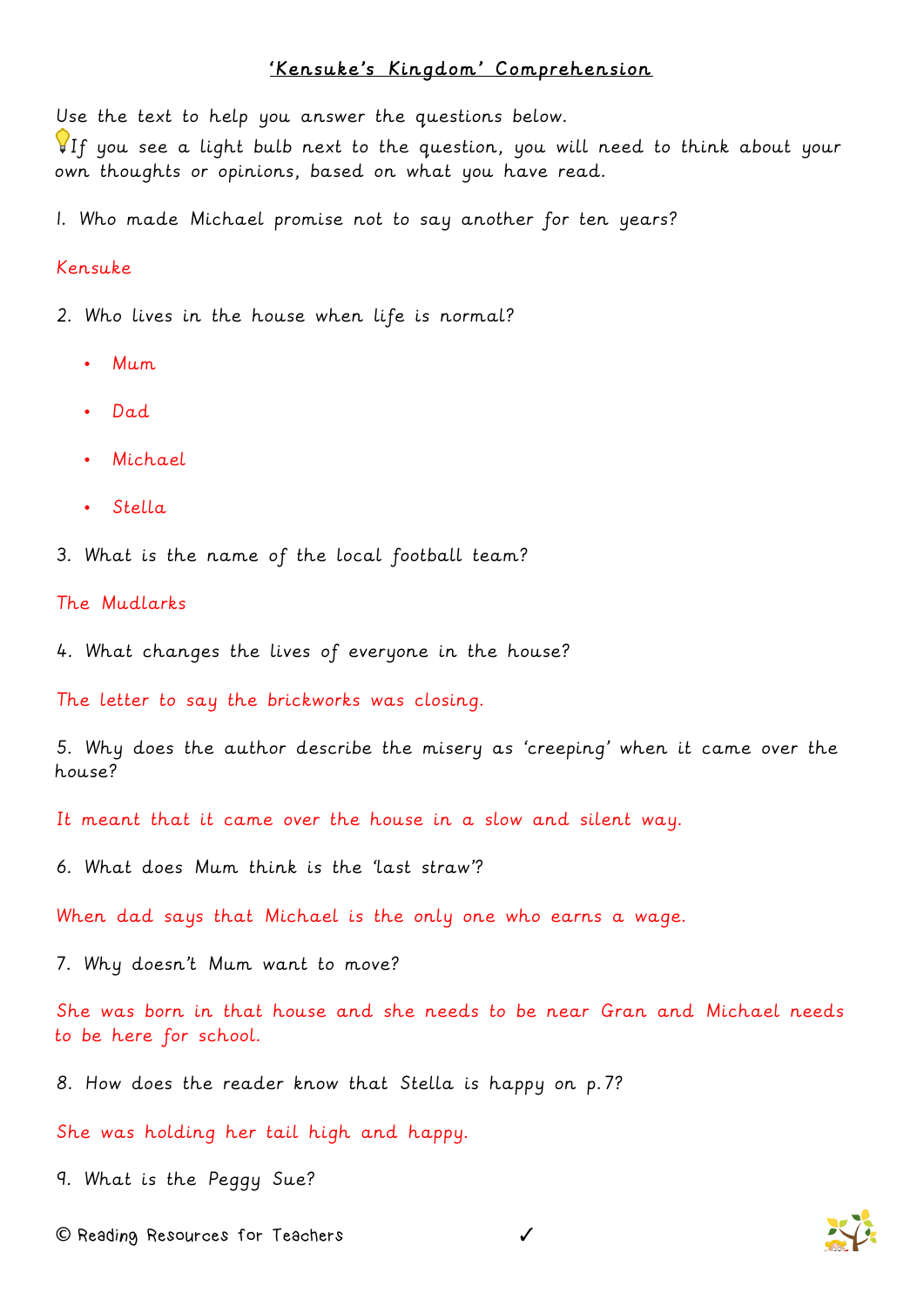## 'Kensuke's Kingdom' Comprehension

Use the text to help you answer the questions below.

If you see a light bulb next to the question, you will need to think about your own thoughts or opinions, based on what you have read.

1. Who made Michael promise not to say another for ten years?

## Kensuke

2. Who lives in the house when life is normal?

- Mum
- Dad
- Michael
- Stella
- 3. What is the name of the local football team?

The Mudlarks

4. What changes the lives of everyone in the house?

The letter to say the brickworks was closing.

5. Why does the author describe the misery as 'creeping' when it came over the house?

It meant that it came over the house in a slow and silent way.

6. What does Mum think is the 'last straw'?

When dad says that Michael is the only one who earns a wage.

7. Why doesn't Mum want to move?

She was born in that house and she needs to be near Gran and Michael needs to be here for school.

8. How does the reader know that Stella is happy on p.7?

She was holding her tail high and happy.

9. What is the Peggy Sue?

**©** Reading Resources for Teachers ✓